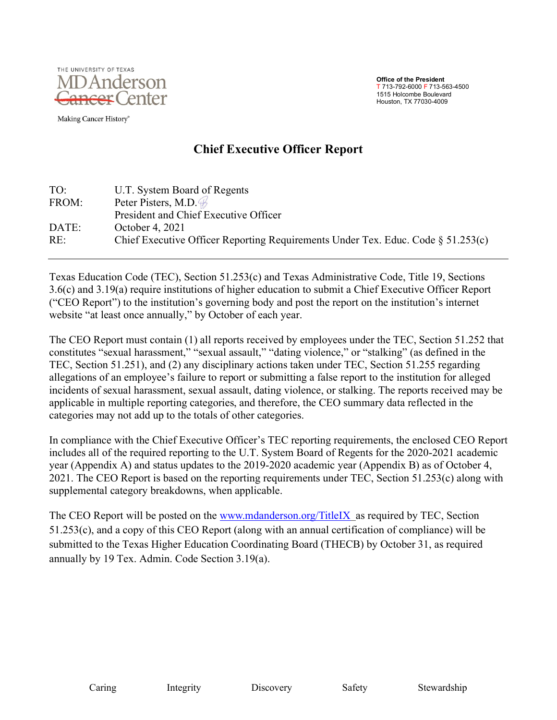

Making Cancer History®

#### **Office of the President**  T 713-792-6000 F 713-563-4500 1515 Holcombe Boulevard Houston, TX 77030-4009

# **Chief Executive Officer Report**

| U.T. System Board of Regents                                                        |
|-------------------------------------------------------------------------------------|
| Peter Pisters, M.D. B                                                               |
| President and Chief Executive Officer                                               |
| October 4, 2021                                                                     |
| Chief Executive Officer Reporting Requirements Under Tex. Educ. Code $\S 51.253(c)$ |
|                                                                                     |

Texas Education Code (TEC), Section 51.253(c) and Texas Administrative Code, Title 19, Sections 3.6(c) and 3.19(a) require institutions of higher education to submit a Chief Executive Officer Report ("CEO Report") to the institution's governing body and post the report on the institution's internet website "at least once annually," by October of each year.

The CEO Report must contain (1) all reports received by employees under the TEC, Section 51.252 that constitutes "sexual harassment," "sexual assault," "dating violence," or "stalking" (as defined in the TEC, Section 51.251), and (2) any disciplinary actions taken under TEC, Section 51.255 regarding allegations of an employee's failure to report or submitting a false report to the institution for alleged incidents of sexual harassment, sexual assault, dating violence, or stalking. The reports received may be applicable in multiple reporting categories, and therefore, the CEO summary data reflected in the categories may not add up to the totals of other categories.

In compliance with the Chief Executive Officer's TEC reporting requirements, the enclosed CEO Report includes all of the required reporting to the U.T. System Board of Regents for the 2020-2021 academic year (Appendix A) and status updates to the 2019-2020 academic year (Appendix B) as of October 4, 2021. The CEO Report is based on the reporting requirements under TEC, Section 51.253(c) along with supplemental category breakdowns, when applicable.

The CEO Report will be posted on the [www.mdanderson.org/TitleIX](http://www.mdanderson.org/TitleIX) as required by TEC, Section 51.253(c), and a copy of this CEO Report (along with an annual certification of compliance) will be submitted to the Texas Higher Education Coordinating Board (THECB) by October 31, as required annually by 19 Tex. Admin. Code Section 3.19(a).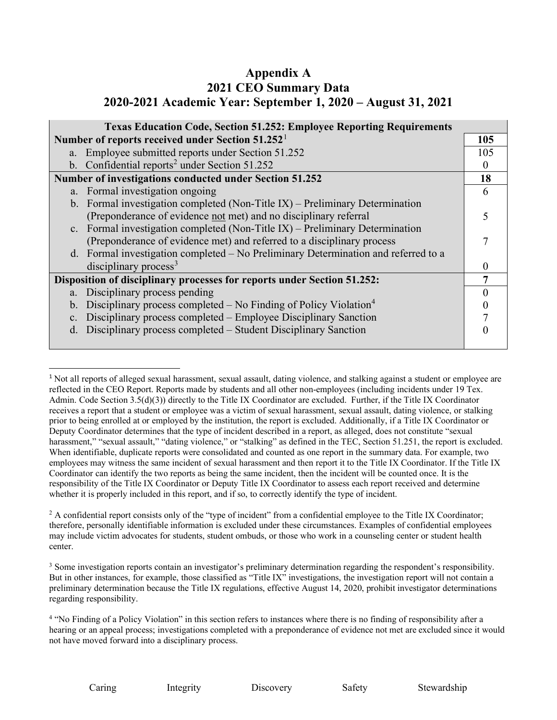# **Appendix A 2021 CEO Summary Data 2020-2021 Academic Year: September 1, 2020 – August 31, 2021**

| <b>Texas Education Code, Section 51.252: Employee Reporting Requirements</b>                     |     |  |
|--------------------------------------------------------------------------------------------------|-----|--|
| Number of reports received under Section 51.252 <sup>1</sup>                                     | 105 |  |
| a. Employee submitted reports under Section 51.252                                               | 105 |  |
| b. Confidential reports <sup>2</sup> under Section $51.252$                                      |     |  |
| Number of investigations conducted under Section 51.252                                          | 18  |  |
| a. Formal investigation ongoing                                                                  | 6   |  |
| b. Formal investigation completed (Non-Title IX) – Preliminary Determination                     |     |  |
| (Preponderance of evidence not met) and no disciplinary referral                                 |     |  |
| c. Formal investigation completed (Non-Title IX) – Preliminary Determination                     |     |  |
| (Preponderance of evidence met) and referred to a disciplinary process                           |     |  |
| d. Formal investigation completed – No Preliminary Determination and referred to a               |     |  |
| disciplinary process <sup>3</sup>                                                                |     |  |
| Disposition of disciplinary processes for reports under Section 51.252:                          |     |  |
| a. Disciplinary process pending                                                                  |     |  |
| Disciplinary process completed $-$ No Finding of Policy Violation <sup>4</sup><br>$\mathbf{b}$ . |     |  |
| Disciplinary process completed – Employee Disciplinary Sanction<br>C <sub>1</sub>                |     |  |
| Disciplinary process completed – Student Disciplinary Sanction<br>d.                             |     |  |
|                                                                                                  |     |  |

<span id="page-1-0"></span><sup>&</sup>lt;sup>1</sup> Not all reports of alleged sexual harassment, sexual assault, dating violence, and stalking against a student or employee are reflected in the CEO Report. Reports made by students and all other non-employees (including incidents under 19 Tex. Admin. Code Section 3.5(d)(3)) directly to the Title IX Coordinator are excluded. Further, if the Title IX Coordinator receives a report that a student or employee was a victim of sexual harassment, sexual assault, dating violence, or stalking prior to being enrolled at or employed by the institution, the report is excluded. Additionally, if a Title IX Coordinator or Deputy Coordinator determines that the type of incident described in a report, as alleged, does not constitute "sexual harassment," "sexual assault," "dating violence," or "stalking" as defined in the TEC, Section 51.251, the report is excluded. When identifiable, duplicate reports were consolidated and counted as one report in the summary data. For example, two employees may witness the same incident of sexual harassment and then report it to the Title IX Coordinator. If the Title IX Coordinator can identify the two reports as being the same incident, then the incident will be counted once. It is the responsibility of the Title IX Coordinator or Deputy Title IX Coordinator to assess each report received and determine whether it is properly included in this report, and if so, to correctly identify the type of incident.

Caring Integrity Discovery Safety Stewardship

<span id="page-1-1"></span><sup>&</sup>lt;sup>2</sup> A confidential report consists only of the "type of incident" from a confidential employee to the Title IX Coordinator; therefore, personally identifiable information is excluded under these circumstances. Examples of confidential employees may include victim advocates for students, student ombuds, or those who work in a counseling center or student health center.

<span id="page-1-2"></span><sup>&</sup>lt;sup>3</sup> Some investigation reports contain an investigator's preliminary determination regarding the respondent's responsibility. But in other instances, for example, those classified as "Title IX" investigations, the investigation report will not contain a preliminary determination because the Title IX regulations, effective August 14, 2020, prohibit investigator determinations regarding responsibility.

<span id="page-1-3"></span><sup>&</sup>lt;sup>4</sup> "No Finding of a Policy Violation" in this section refers to instances where there is no finding of responsibility after a hearing or an appeal process; investigations completed with a preponderance of evidence not met are excluded since it would not have moved forward into a disciplinary process.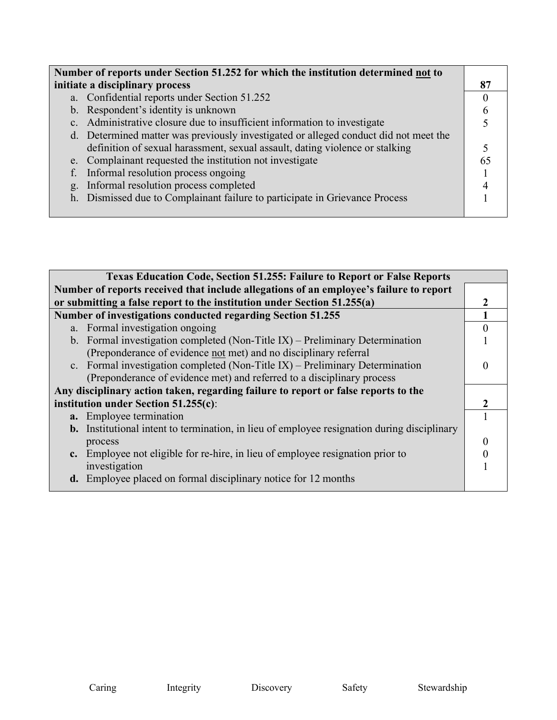| Number of reports under Section 51.252 for which the institution determined not to   |  |  |
|--------------------------------------------------------------------------------------|--|--|
| initiate a disciplinary process                                                      |  |  |
| a. Confidential reports under Section 51.252                                         |  |  |
| b. Respondent's identity is unknown                                                  |  |  |
| c. Administrative closure due to insufficient information to investigate             |  |  |
| d. Determined matter was previously investigated or alleged conduct did not meet the |  |  |
| definition of sexual harassment, sexual assault, dating violence or stalking         |  |  |
| e. Complainant requested the institution not investigate                             |  |  |
| Informal resolution process ongoing<br>f.                                            |  |  |
| Informal resolution process completed<br>g.                                          |  |  |
| h. Dismissed due to Complainant failure to participate in Grievance Process          |  |  |
|                                                                                      |  |  |

| <b>Texas Education Code, Section 51.255: Failure to Report or False Reports</b>    |                                                                                                    |  |
|------------------------------------------------------------------------------------|----------------------------------------------------------------------------------------------------|--|
|                                                                                    | Number of reports received that include allegations of an employee's failure to report             |  |
|                                                                                    | or submitting a false report to the institution under Section 51.255(a)                            |  |
| <b>Number of investigations conducted regarding Section 51.255</b>                 |                                                                                                    |  |
|                                                                                    | a. Formal investigation ongoing                                                                    |  |
|                                                                                    | b. Formal investigation completed (Non-Title IX) – Preliminary Determination                       |  |
|                                                                                    | (Preponderance of evidence not met) and no disciplinary referral                                   |  |
|                                                                                    | c. Formal investigation completed (Non-Title IX) – Preliminary Determination                       |  |
|                                                                                    | (Preponderance of evidence met) and referred to a disciplinary process                             |  |
| Any disciplinary action taken, regarding failure to report or false reports to the |                                                                                                    |  |
| institution under Section $51.255(c)$ :                                            |                                                                                                    |  |
|                                                                                    | a. Employee termination                                                                            |  |
|                                                                                    | <b>b.</b> Institutional intent to termination, in lieu of employee resignation during disciplinary |  |
|                                                                                    | process                                                                                            |  |
|                                                                                    | c. Employee not eligible for re-hire, in lieu of employee resignation prior to                     |  |
|                                                                                    | investigation                                                                                      |  |
|                                                                                    | <b>d.</b> Employee placed on formal disciplinary notice for 12 months                              |  |
|                                                                                    |                                                                                                    |  |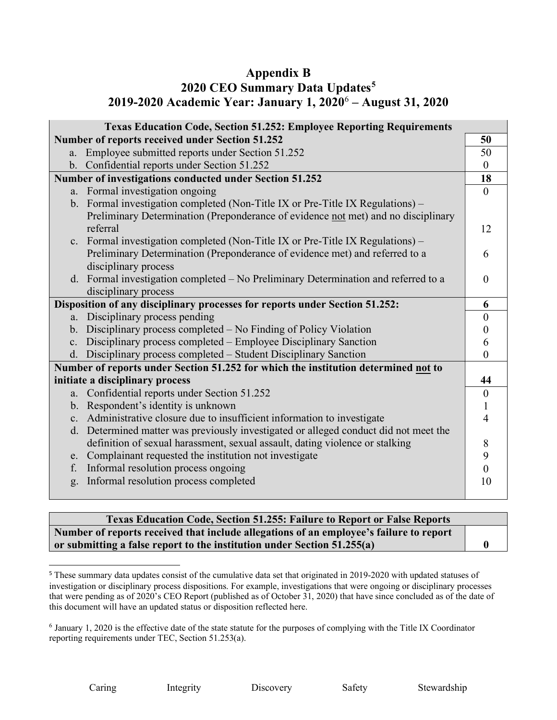# **Appendix B**

# **2020 CEO Summary Data Updates[5](#page-3-0) 2019-2020 Academic Year: January 1, 2020**[6](#page-3-1) **– August 31, 2020**

| <b>Texas Education Code, Section 51.252: Employee Reporting Requirements</b>       |                                                                                      |                  |
|------------------------------------------------------------------------------------|--------------------------------------------------------------------------------------|------------------|
|                                                                                    | Number of reports received under Section 51.252                                      | 50               |
|                                                                                    | a. Employee submitted reports under Section 51.252                                   | 50               |
|                                                                                    | b. Confidential reports under Section 51.252                                         | $\boldsymbol{0}$ |
|                                                                                    | Number of investigations conducted under Section 51.252                              | 18               |
|                                                                                    | a. Formal investigation ongoing                                                      | $\overline{0}$   |
|                                                                                    | b. Formal investigation completed (Non-Title IX or Pre-Title IX Regulations) $-$     |                  |
|                                                                                    | Preliminary Determination (Preponderance of evidence not met) and no disciplinary    |                  |
|                                                                                    | referral                                                                             | 12               |
|                                                                                    | c. Formal investigation completed (Non-Title IX or Pre-Title IX Regulations) –       |                  |
|                                                                                    | Preliminary Determination (Preponderance of evidence met) and referred to a          | 6                |
|                                                                                    | disciplinary process                                                                 |                  |
|                                                                                    | d. Formal investigation completed - No Preliminary Determination and referred to a   | $\theta$         |
|                                                                                    | disciplinary process                                                                 |                  |
| Disposition of any disciplinary processes for reports under Section 51.252:        |                                                                                      | 6                |
|                                                                                    | a. Disciplinary process pending                                                      | $\theta$         |
|                                                                                    | b. Disciplinary process completed – No Finding of Policy Violation                   | $\theta$         |
| $c_{\cdot}$                                                                        | Disciplinary process completed – Employee Disciplinary Sanction                      | 6                |
|                                                                                    | d. Disciplinary process completed - Student Disciplinary Sanction                    | 0                |
| Number of reports under Section 51.252 for which the institution determined not to |                                                                                      |                  |
|                                                                                    | initiate a disciplinary process                                                      | 44               |
| a.                                                                                 | Confidential reports under Section 51.252                                            | $\boldsymbol{0}$ |
|                                                                                    | b. Respondent's identity is unknown                                                  |                  |
| $\mathbf{c}$ .                                                                     | Administrative closure due to insufficient information to investigate                | 4                |
|                                                                                    | d. Determined matter was previously investigated or alleged conduct did not meet the |                  |
|                                                                                    | definition of sexual harassment, sexual assault, dating violence or stalking         | 8                |
|                                                                                    | e. Complainant requested the institution not investigate                             | 9                |
| f.                                                                                 | Informal resolution process ongoing                                                  | 0                |
| g.                                                                                 | Informal resolution process completed                                                | 10               |
|                                                                                    |                                                                                      |                  |

### **Texas Education Code, Section 51.255: Failure to Report or False Reports Number of reports received that include allegations of an employee's failure to report or submitting a false report to the institution under Section 51.255(a) 0**

<span id="page-3-0"></span><sup>&</sup>lt;sup>5</sup> These summary data updates consist of the cumulative data set that originated in 2019-2020 with updated statuses of investigation or disciplinary process dispositions. For example, investigations that were ongoing or disciplinary processes that were pending as of 2020's CEO Report (published as of October 31, 2020) that have since concluded as of the date of this document will have an updated status or disposition reflected here.

<span id="page-3-1"></span><sup>6</sup> January 1, 2020 is the effective date of the state statute for the purposes of complying with the Title IX Coordinator reporting requirements under TEC, Section 51.253(a).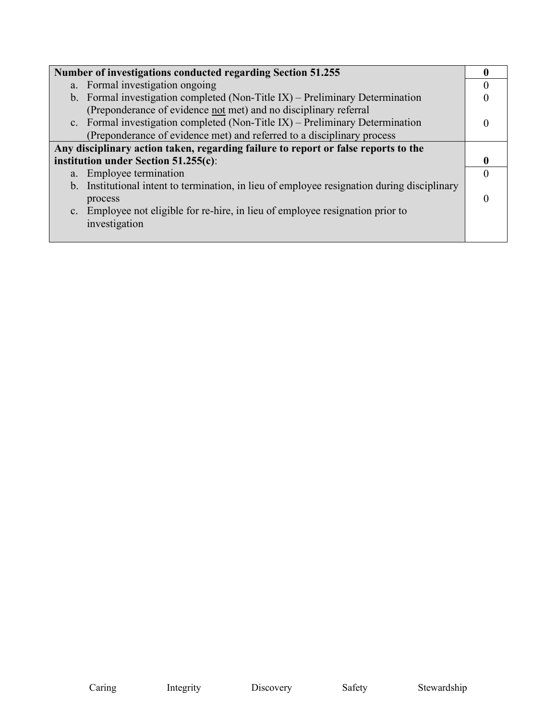| Number of investigations conducted regarding Section 51.255                                 |  |
|---------------------------------------------------------------------------------------------|--|
|                                                                                             |  |
| a. Formal investigation ongoing                                                             |  |
| b. Formal investigation completed (Non-Title IX) – Preliminary Determination                |  |
| (Preponderance of evidence not met) and no disciplinary referral                            |  |
| c. Formal investigation completed (Non-Title IX) – Preliminary Determination                |  |
| (Preponderance of evidence met) and referred to a disciplinary process                      |  |
| Any disciplinary action taken, regarding failure to report or false reports to the          |  |
| institution under Section $51.255(c)$ :                                                     |  |
| a. Employee termination                                                                     |  |
| b. Institutional intent to termination, in lieu of employee resignation during disciplinary |  |
| process                                                                                     |  |
| c. Employee not eligible for re-hire, in lieu of employee resignation prior to              |  |
| investigation                                                                               |  |
|                                                                                             |  |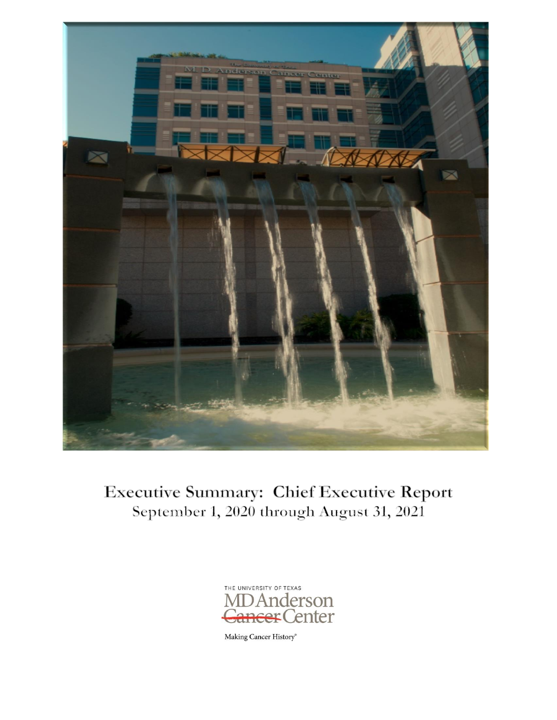

# **Executive Summary: Chief Executive Report** September 1, 2020 through August 31, 2021



Making Cancer History®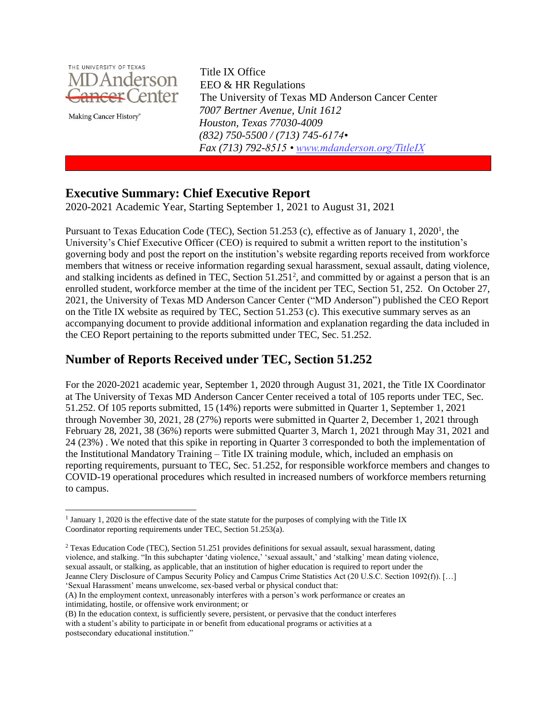

Making Cancer History®

EEO & HR Regulations The University of Texas MD Anderson Cancer Center *7007 Bertner Avenue, Unit 1612 Houston, Texas 77030-4009 (832) 750-5500 / (713) 745-6174• Fax (713) 792-8515 • [www.mdanderson.org/TitleIX](http://www.mdanderson.org/TitleIX)*

### **Executive Summary: Chief Executive Report**

2020-2021 Academic Year, Starting September 1, 2021 to August 31, 2021

Pursuant to Texas Education Code (TEC), Section 51.253 (c), effective as of January 1, 2020<sup>1</sup>, the University's Chief Executive Officer (CEO) is required to submit a written report to the institution's governing body and post the report on the institution's website regarding reports received from workforce members that witness or receive information regarding sexual harassment, sexual assault, dating violence, and stalking incidents as defined in TEC, Section 51.251<sup>2</sup>, and committed by or against a person that is an enrolled student, workforce member at the time of the incident per TEC, Section 51, 252. On October 27, 2021, the University of Texas MD Anderson Cancer Center ("MD Anderson") published the CEO Report on the Title IX website as required by TEC, Section 51.253 (c). This executive summary serves as an accompanying document to provide additional information and explanation regarding the data included in the CEO Report pertaining to the reports submitted under TEC, Sec. 51.252.

# **Number of Reports Received under TEC, Section 51.252**

For the 2020-2021 academic year, September 1, 2020 through August 31, 2021, the Title IX Coordinator at The University of Texas MD Anderson Cancer Center received a total of 105 reports under TEC, Sec. 51.252. Of 105 reports submitted, 15 (14%) reports were submitted in Quarter 1, September 1, 2021 through November 30, 2021, 28 (27%) reports were submitted in Quarter 2, December 1, 2021 through February 28, 2021, 38 (36%) reports were submitted Quarter 3, March 1, 2021 through May 31, 2021 and 24 (23%) . We noted that this spike in reporting in Quarter 3 corresponded to both the implementation of the Institutional Mandatory Training – Title IX training module, which, included an emphasis on reporting requirements, pursuant to TEC, Sec. 51.252, for responsible workforce members and changes to COVID-19 operational procedures which resulted in increased numbers of workforce members returning to campus.

<sup>&</sup>lt;sup>1</sup> January 1, 2020 is the effective date of the state statute for the purposes of complying with the Title IX Coordinator reporting requirements under TEC, Section 51.253(a).

<sup>2</sup> Texas Education Code (TEC), Section 51.251 provides definitions for sexual assault, sexual harassment, dating violence, and stalking. "In this subchapter 'dating violence,' 'sexual assault,' and 'stalking' mean dating violence, sexual assault, or stalking, as applicable, that an institution of higher education is required to report under the Jeanne Clery Disclosure of Campus Security Policy and Campus Crime Statistics Act (20 U.S.C. Section 1092(f)). […] 'Sexual Harassment' means unwelcome, sex-based verbal or physical conduct that:

<sup>(</sup>A) In the employment context, unreasonably interferes with a person's work performance or creates an intimidating, hostile, or offensive work environment; or

<sup>(</sup>B) In the education context, is sufficiently severe, persistent, or pervasive that the conduct interferes with a student's ability to participate in or benefit from educational programs or activities at a postsecondary educational institution."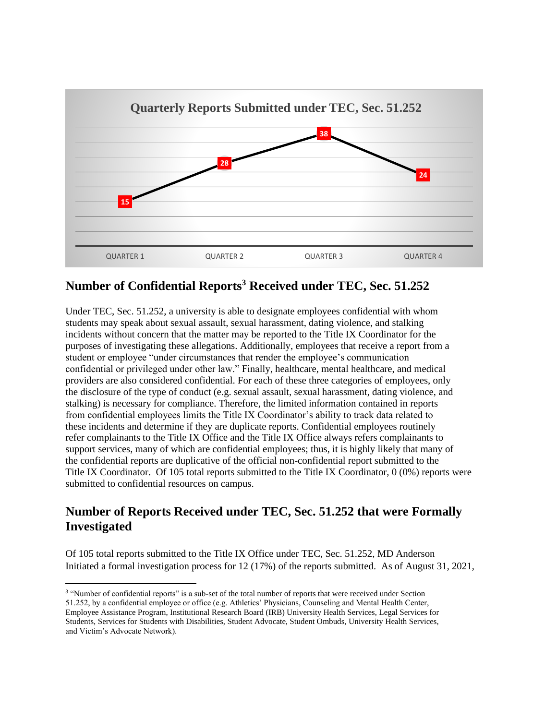

# **Number of Confidential Reports<sup>3</sup> Received under TEC, Sec. 51.252**

Under TEC, Sec. 51.252, a university is able to designate employees confidential with whom students may speak about sexual assault, sexual harassment, dating violence, and stalking incidents without concern that the matter may be reported to the Title IX Coordinator for the purposes of investigating these allegations. Additionally, employees that receive a report from a student or employee "under circumstances that render the employee's communication confidential or privileged under other law." Finally, healthcare, mental healthcare, and medical providers are also considered confidential. For each of these three categories of employees, only the disclosure of the type of conduct (e.g. sexual assault, sexual harassment, dating violence, and stalking) is necessary for compliance. Therefore, the limited information contained in reports from confidential employees limits the Title IX Coordinator's ability to track data related to these incidents and determine if they are duplicate reports. Confidential employees routinely refer complainants to the Title IX Office and the Title IX Office always refers complainants to support services, many of which are confidential employees; thus, it is highly likely that many of the confidential reports are duplicative of the official non-confidential report submitted to the Title IX Coordinator. Of 105 total reports submitted to the Title IX Coordinator, 0 (0%) reports were submitted to confidential resources on campus.

# **Number of Reports Received under TEC, Sec. 51.252 that were Formally Investigated**

Of 105 total reports submitted to the Title IX Office under TEC, Sec. 51.252, MD Anderson Initiated a formal investigation process for 12 (17%) of the reports submitted. As of August 31, 2021,

<sup>&</sup>lt;sup>3</sup> "Number of confidential reports" is a sub-set of the total number of reports that were received under Section 51.252, by a confidential employee or office (e.g. Athletics' Physicians, Counseling and Mental Health Center, Employee Assistance Program, Institutional Research Board (IRB) University Health Services, Legal Services for Students, Services for Students with Disabilities, Student Advocate, Student Ombuds, University Health Services, and Victim's Advocate Network).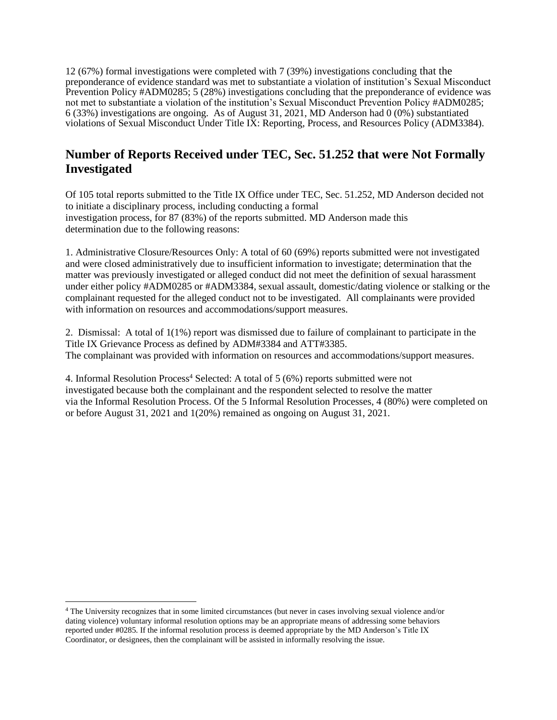12 (67%) formal investigations were completed with 7 (39%) investigations concluding that the preponderance of evidence standard was met to substantiate a violation of institution's Sexual Misconduct Prevention Policy #ADM0285; 5 (28%) investigations concluding that the preponderance of evidence was not met to substantiate a violation of the institution's Sexual Misconduct Prevention Policy #ADM0285; 6 (33%) investigations are ongoing. As of August 31, 2021, MD Anderson had 0 (0%) substantiated violations of Sexual Misconduct Under Title IX: Reporting, Process, and Resources Policy (ADM3384).

# **Number of Reports Received under TEC, Sec. 51.252 that were Not Formally Investigated**

Of 105 total reports submitted to the Title IX Office under TEC, Sec. 51.252, MD Anderson decided not to initiate a disciplinary process, including conducting a formal investigation process, for 87 (83%) of the reports submitted. MD Anderson made this determination due to the following reasons:

1. Administrative Closure/Resources Only: A total of 60 (69%) reports submitted were not investigated and were closed administratively due to insufficient information to investigate; determination that the matter was previously investigated or alleged conduct did not meet the definition of sexual harassment under either policy #ADM0285 or #ADM3384, sexual assault, domestic/dating violence or stalking or the complainant requested for the alleged conduct not to be investigated. All complainants were provided with information on resources and accommodations/support measures.

2. Dismissal: A total of 1(1%) report was dismissed due to failure of complainant to participate in the Title IX Grievance Process as defined by ADM#3384 and ATT#3385. The complainant was provided with information on resources and accommodations/support measures.

4. Informal Resolution Process<sup>4</sup> Selected: A total of 5 (6%) reports submitted were not investigated because both the complainant and the respondent selected to resolve the matter via the Informal Resolution Process. Of the 5 Informal Resolution Processes, 4 (80%) were completed on or before August 31, 2021 and 1(20%) remained as ongoing on August 31, 2021.

<sup>4</sup> The University recognizes that in some limited circumstances (but never in cases involving sexual violence and/or dating violence) voluntary informal resolution options may be an appropriate means of addressing some behaviors reported under #0285. If the informal resolution process is deemed appropriate by the MD Anderson's Title IX Coordinator, or designees, then the complainant will be assisted in informally resolving the issue.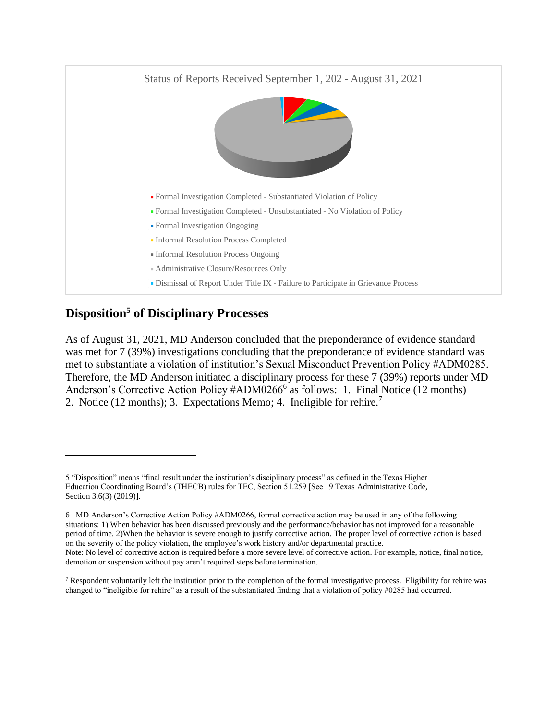

# **Disposition<sup>5</sup> of Disciplinary Processes**

As of August 31, 2021, MD Anderson concluded that the preponderance of evidence standard was met for 7 (39%) investigations concluding that the preponderance of evidence standard was met to substantiate a violation of institution's Sexual Misconduct Prevention Policy #ADM0285. Therefore, the MD Anderson initiated a disciplinary process for these 7 (39%) reports under MD Anderson's Corrective Action Policy #ADM0266<sup>6</sup> as follows: 1. Final Notice (12 months) 2. Notice (12 months); 3. Expectations Memo; 4. Ineligible for rehire.<sup>7</sup>

<sup>5 &</sup>quot;Disposition" means "final result under the institution's disciplinary process" as defined in the Texas Higher Education Coordinating Board's (THECB) rules for TEC, Section 51.259 [See 19 Texas Administrative Code, Section 3.6(3) (2019)].

<sup>6</sup> MD Anderson's Corrective Action Policy #ADM0266, formal corrective action may be used in any of the following situations: 1) When behavior has been discussed previously and the performance/behavior has not improved for a reasonable period of time. 2)When the behavior is severe enough to justify corrective action. The proper level of corrective action is based on the severity of the policy violation, the employee's work history and/or departmental practice. Note: No level of corrective action is required before a more severe level of corrective action. For example, notice, final notice, demotion or suspension without pay aren't required steps before termination.

 $7$  Respondent voluntarily left the institution prior to the completion of the formal investigative process. Eligibility for rehire was changed to "ineligible for rehire" as a result of the substantiated finding that a violation of policy #0285 had occurred.